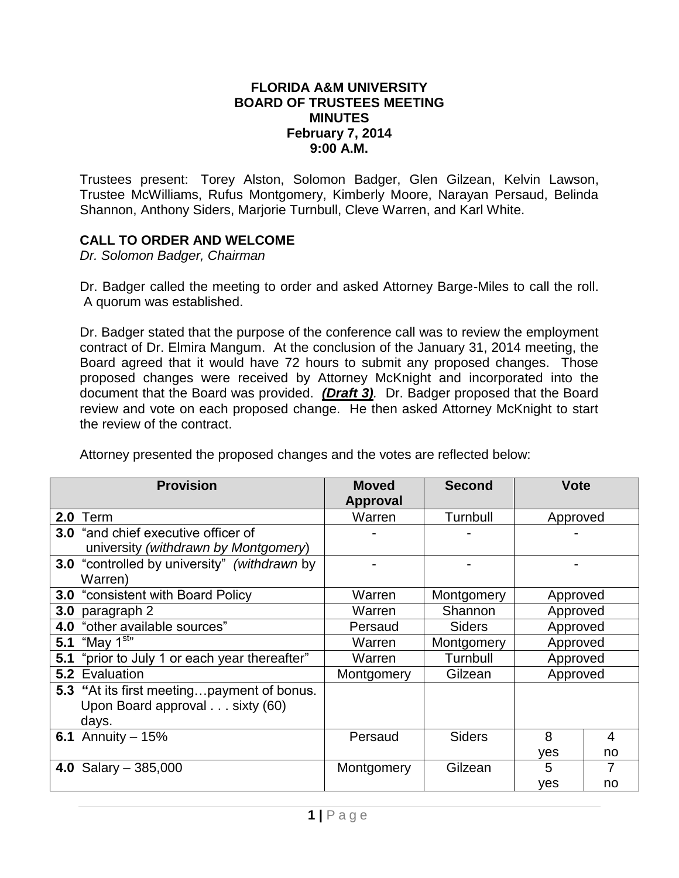## **FLORIDA A&M UNIVERSITY BOARD OF TRUSTEES MEETING MINUTES February 7, 2014 9:00 A.M.**

Trustees present: Torey Alston, Solomon Badger, Glen Gilzean, Kelvin Lawson, Trustee McWilliams, Rufus Montgomery, Kimberly Moore, Narayan Persaud, Belinda Shannon, Anthony Siders, Marjorie Turnbull, Cleve Warren, and Karl White.

## **CALL TO ORDER AND WELCOME**

*Dr. Solomon Badger, Chairman*

Dr. Badger called the meeting to order and asked Attorney Barge-Miles to call the roll. A quorum was established.

Dr. Badger stated that the purpose of the conference call was to review the employment contract of Dr. Elmira Mangum. At the conclusion of the January 31, 2014 meeting, the Board agreed that it would have 72 hours to submit any proposed changes. Those proposed changes were received by Attorney McKnight and incorporated into the document that the Board was provided. *(Draft 3).* Dr. Badger proposed that the Board review and vote on each proposed change. He then asked Attorney McKnight to start the review of the contract.

Attorney presented the proposed changes and the votes are reflected below:

| <b>Provision</b> |                                                     | <b>Moved</b>    | <b>Second</b> | <b>Vote</b> |    |
|------------------|-----------------------------------------------------|-----------------|---------------|-------------|----|
|                  |                                                     | <b>Approval</b> |               |             |    |
|                  | <b>2.0 Term</b>                                     | Warren          | Turnbull      | Approved    |    |
|                  | <b>3.0</b> "and chief executive officer of          |                 |               |             |    |
|                  | university (withdrawn by Montgomery)                |                 |               |             |    |
|                  | <b>3.0</b> "controlled by university" (withdrawn by |                 |               |             |    |
|                  | Warren)                                             |                 |               |             |    |
| 3.0              | "consistent with Board Policy                       | Warren          | Montgomery    | Approved    |    |
| 3.0              | paragraph 2                                         | Warren          | Shannon       | Approved    |    |
| 4.0              | "other available sources"                           | Persaud         | <b>Siders</b> | Approved    |    |
|                  | 5.1 "May $1^{\text{str}}$                           | Warren          | Montgomery    | Approved    |    |
| 5.1              | "prior to July 1 or each year thereafter"           | Warren          | Turnbull      | Approved    |    |
|                  | 5.2 Evaluation                                      | Montgomery      | Gilzean       | Approved    |    |
|                  | 5.3 "At its first meetingpayment of bonus.          |                 |               |             |    |
|                  | Upon Board approval sixty (60)                      |                 |               |             |    |
|                  | days.                                               |                 |               |             |    |
|                  | <b>6.1</b> Annuity $-15%$                           | Persaud         | <b>Siders</b> | 8           | 4  |
|                  |                                                     |                 |               | yes         | no |
|                  | 4.0 Salary $-385,000$                               | Montgomery      | Gilzean       | 5           | 7  |
|                  |                                                     |                 |               | yes         | no |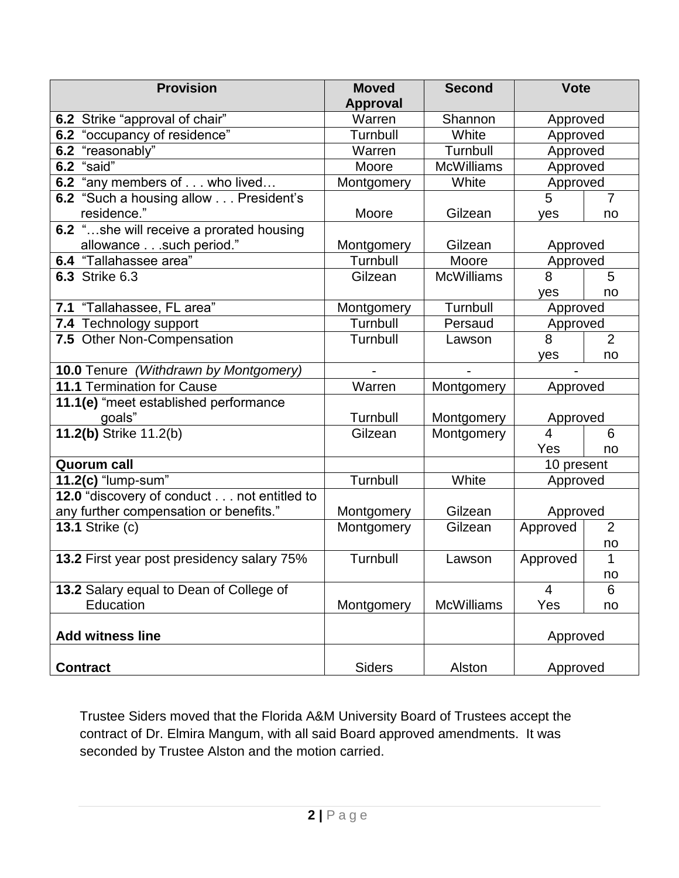| <b>Provision</b>                           | <b>Moved</b>              | <b>Second</b>     | <b>Vote</b>          |                |  |  |
|--------------------------------------------|---------------------------|-------------------|----------------------|----------------|--|--|
| 6.2 Strike "approval of chair"             | <b>Approval</b><br>Warren | Shannon           |                      |                |  |  |
| 6.2 "occupancy of residence"               | Turnbull                  | White             | Approved<br>Approved |                |  |  |
| 6.2 "reasonably"                           | Warren                    | Turnbull          | Approved             |                |  |  |
| 6.2 "said"                                 | Moore                     | <b>McWilliams</b> | Approved             |                |  |  |
| 6.2 "any members of who lived              | Montgomery                | White             | Approved             |                |  |  |
| 6.2 "Such a housing allow President's      |                           |                   | 5<br>$\overline{7}$  |                |  |  |
| residence."                                | Moore                     | Gilzean           | yes                  | no             |  |  |
| 6.2 "she will receive a prorated housing   |                           |                   |                      |                |  |  |
| allowance such period."                    | Montgomery                | Gilzean           | Approved             |                |  |  |
| 6.4 "Tallahassee area"                     | Turnbull                  | Moore             | Approved             |                |  |  |
| <b>6.3 Strike 6.3</b>                      | Gilzean                   | <b>McWilliams</b> | 8                    | 5              |  |  |
|                                            |                           |                   | yes                  | no             |  |  |
| 7.1 "Tallahassee, FL area"                 | Montgomery                | Turnbull          | Approved             |                |  |  |
| 7.4 Technology support                     | Turnbull                  | Persaud           | Approved             |                |  |  |
| 7.5 Other Non-Compensation                 | Turnbull                  | Lawson            | 8                    | $\overline{2}$ |  |  |
|                                            |                           |                   | yes                  | no             |  |  |
| 10.0 Tenure (Withdrawn by Montgomery)      |                           |                   |                      |                |  |  |
| 11.1 Termination for Cause                 | Warren                    | Montgomery        | Approved             |                |  |  |
| 11.1(e) "meet established performance      |                           |                   |                      |                |  |  |
| goals"                                     | Turnbull                  | Montgomery        | Approved             |                |  |  |
| 11.2(b) Strike 11.2(b)                     | Gilzean                   | Montgomery        | $\overline{4}$       | 6              |  |  |
|                                            |                           |                   | Yes                  | no             |  |  |
| <b>Quorum call</b>                         |                           |                   | 10 present           |                |  |  |
| 11.2(c) "lump-sum"                         | Turnbull                  | White             | Approved             |                |  |  |
| 12.0 "discovery of conduct not entitled to |                           |                   |                      |                |  |  |
| any further compensation or benefits."     | Montgomery                | Gilzean           | Approved             |                |  |  |
| <b>13.1 Strike (c)</b>                     | Montgomery                | Gilzean           | Approved             | $\overline{2}$ |  |  |
|                                            |                           |                   |                      | no             |  |  |
| 13.2 First year post presidency salary 75% | Turnbull                  | Lawson            | Approved             | 1              |  |  |
|                                            |                           |                   |                      | no             |  |  |
| 13.2 Salary equal to Dean of College of    |                           |                   | $\overline{4}$       | 6              |  |  |
| Education                                  | Montgomery                | <b>McWilliams</b> | Yes                  | no             |  |  |
| <b>Add witness line</b>                    |                           |                   | Approved             |                |  |  |
| <b>Contract</b>                            | <b>Siders</b>             | Alston            | Approved             |                |  |  |

Trustee Siders moved that the Florida A&M University Board of Trustees accept the contract of Dr. Elmira Mangum, with all said Board approved amendments. It was seconded by Trustee Alston and the motion carried.